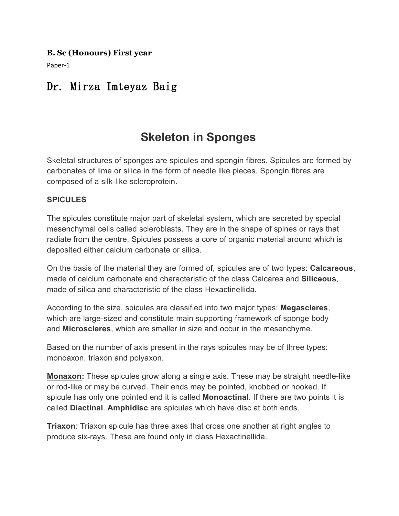#### **B. Sc (Honours) First year**

Paper-1

## Dr. Mirza Imteyaz Baig

# **Skeleton in Sponges**

Skeletal structures of sponges are spicules and spongin fibres. Spicules are formed by carbonates of lime or silica in the form of needle like pieces. Spongin fibres are composed of a silk-like scleroprotein.

#### **SPICULES**

The spicules constitute major part of skeletal system, which are secreted by special mesenchymal cells called scleroblasts. They are in the shape of spines or rays that radiate from the centre. Spicules possess a core of organic material around which is deposited either calcium carbonate or silica.

On the basis of the material they are formed of, spicules are of two types: **Calcareous**, made of calcium carbonate and characteristic of the class Calcarea and **Siliceous**, made of silica and characteristic of the class Hexactinellida.

According to the size, spicules are classified into two major types: **Megascleres**, which are large-sized and constitute main supporting framework of sponge body and **Microscleres**, which are smaller in size and occur in the mesenchyme.

Based on the number of axis present in the rays spicules may be of three types: monoaxon, triaxon and polyaxon.

**Monaxon:** These spicules grow along a single axis. These may be straight needle-like or rod-like or may be curved. Their ends may be pointed, knobbed or hooked. If spicule has only one pointed end it is called **Monoactinal**. If there are two points it is called **Diactinal**. **Amphidisc** are spicules which have disc at both ends.

**Triaxon**: Triaxon spicule has three axes that cross one another at right angles to produce six-rays. These are found only in class Hexactinellida.